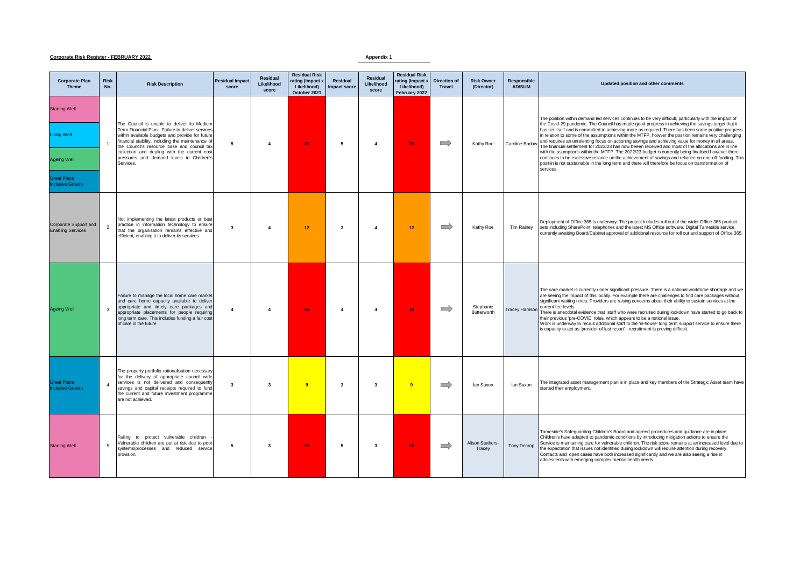## **Corporate Risk Register - FEBRUARY 2022 Appendix 1**

| <b>Corporate Plan</b><br><b>Theme</b>                                                             | <b>Risk</b><br>No. | <b>Risk Description</b>                                                                                                                                                                                                                                                                                                                                           | <b>Residual Impact</b><br>score | <b>Residual</b><br>Likelihood<br>score | <b>Residual Risk</b><br>rating (Impact x<br>Likelihood)<br>October 2021 | Residual<br><b>Impact score</b> | Residual<br>Likelihood<br>score | <b>Residual Risk</b><br>rating (Impact x<br>Likelihood)<br>February 2022 | <b>Direction of</b><br><b>Travel</b> | <b>Risk Owner</b><br>(Director) | <b>Responsible</b><br><b>AD/SUM</b> | Updated position and other comments                                                                                                                                                                                                                                                                                                                                                                                                                                                                                                                                                                                                                                                                                                                                                                                                                                                                                                                                           |
|---------------------------------------------------------------------------------------------------|--------------------|-------------------------------------------------------------------------------------------------------------------------------------------------------------------------------------------------------------------------------------------------------------------------------------------------------------------------------------------------------------------|---------------------------------|----------------------------------------|-------------------------------------------------------------------------|---------------------------------|---------------------------------|--------------------------------------------------------------------------|--------------------------------------|---------------------------------|-------------------------------------|-------------------------------------------------------------------------------------------------------------------------------------------------------------------------------------------------------------------------------------------------------------------------------------------------------------------------------------------------------------------------------------------------------------------------------------------------------------------------------------------------------------------------------------------------------------------------------------------------------------------------------------------------------------------------------------------------------------------------------------------------------------------------------------------------------------------------------------------------------------------------------------------------------------------------------------------------------------------------------|
| <b>Starting Well</b><br>iving Well<br><b>Ageing Well</b><br><b>Great Place</b><br>nclusive Growth | $\mathbf{1}$       | The Council is unable to deliver its Medium<br>Term Financial Plan - Failure to deliver services<br>within available budgets and provide for future<br>financial stability, including the maintenance of<br>the Council's resource base and council tax<br>collection and dealing with the current cost<br>pressures and demand levels in Children's<br>Services. | 5                               | $\mathbf{A}$                           | 20 <sub>1</sub>                                                         | 5                               | $\overline{4}$                  | 20                                                                       | $\implies$                           | Kathy Roe                       | <b>Caroline Barlow</b>              | The position within demand led services continues to be very difficult, particularly with the impact of<br>the Covid-29 pandemic. The Council has made good progress in achieving the savings target that it<br>has set itself and is committed to achieving more as required. There has been some positive progress<br>in relation to some of the assumptions within the MTFP, howver the position remains very challenging<br>and requires an unrelenting focus on actioning savings and achieving value for money in all areas.<br>The financial settlement for 2022/23 has now beeen received and most of the allocations are in line<br>with the asumptions within the MTFP. The 2022/23 budget is currently being finalised however there<br>continues to be excessive reliance on the achievement of savings and reliance on one-off funding. This<br>positiin is not sustainable in the long term and there will therefore be focus on transformation of<br>services. |
| Corporate Support and<br><b>Enabling Services</b>                                                 | $\overline{2}$     | Not implementing the latest products or best<br>practice in information technology to ensure<br>that the organisation remains effective and<br>efficient, enabling it to deliver its services.                                                                                                                                                                    | $\overline{\mathbf{3}}$         | $\overline{4}$                         | 12 <sup>2</sup>                                                         | 3                               | $\overline{4}$                  | 12 <sup>°</sup>                                                          | $\equiv$                             | Kathy Roe                       | Tim Rainey                          | Deployment of Office 365 is underway. The project includes roll out of the wider Office 365 product<br>sets including SharePoint, telephones and the latest MS Office software. Digital Tameside service<br>currently awaiting Board/Cabinet approval of additional resource for roll out and support of Office 365.                                                                                                                                                                                                                                                                                                                                                                                                                                                                                                                                                                                                                                                          |
| <b>Ageing Well</b>                                                                                | 3                  | Failure to manage the local home care market<br>and care home capacity available to deliver<br>appropriate and timely care packages and<br>appropriate placements for people requiring<br>long term care. This includes funding a fair cost<br>of care in the future                                                                                              | $\overline{4}$                  | $\overline{\mathbf{4}}$                | 16 <sub>1</sub>                                                         | $\overline{4}$                  | $\overline{4}$                  | 16 <sub>1</sub>                                                          | $\implies$                           | Stephanie<br>Butterworth        | <b>Tracey Harrison</b>              | The care market is currently under significant pressure. There is a national workforce shortage and we<br>are seeing the impact of this locally. For example there are challenges to find care packages without<br>significant waiting times. Providers are raising concerns about their ability to sustain services at the<br>current fee levels.<br>There is anecdotal evidence that staff who were recruited during lockdown have started to go back to<br>their previous 'pre-COVID' roles, which appears to be a national issue.<br>Work is underway to recruit additional staff to the 'in-house' long term support service to ensure there<br>is capacity to act as 'provider of last resort' - recruitment is proving difficult.                                                                                                                                                                                                                                      |
| <b>Great Place</b><br>nclusive Growth                                                             | $\overline{4}$     | The property portfolio rationalisation necessary<br>for the delivery of appropriate council wide<br>services is not delivered and consequently<br>savings and capital receipts required to fund<br>the current and future investment programme<br>are not achieved.                                                                                               | $\overline{\mathbf{3}}$         | $\mathbf{3}$                           | -9                                                                      | 3                               | $\overline{\mathbf{3}}$         | 9                                                                        | $\implies$                           | lan Saxon                       | lan Saxon                           | The integrated asset management plan is in place and key members of the Strategic Asset team have<br>started their employment.                                                                                                                                                                                                                                                                                                                                                                                                                                                                                                                                                                                                                                                                                                                                                                                                                                                |
| <b>Starting Well</b>                                                                              | 5                  | Failing to protect vulnerable children<br>Vulnerable children are put at risk due to poor<br>systems/processes and reduced service<br>provision.                                                                                                                                                                                                                  | 5                               | $\mathbf{3}$                           | 15 <sub>1</sub>                                                         | 5                               | $\mathbf{3}$                    | 15 <sub>1</sub>                                                          | $\implies$                           | Alison Stathers-<br>Tracey      | Tony Decrop                         | Tameside's Safeguarding Children's Board and agreed procedures and guidance are in place.<br>Children's have adapted to pandemic conditions by introducing mitigation actions to ensure the<br>Service is maintaining care for vulnerable children. The risk score remains at an increased level due to<br>the expectation that issues not identified during lockdown will require attention during recovery.<br>Contacts and open cases have both increased significantly and we are also seeing a rise in<br>adolescents with emerging complex mental health needs.                                                                                                                                                                                                                                                                                                                                                                                                         |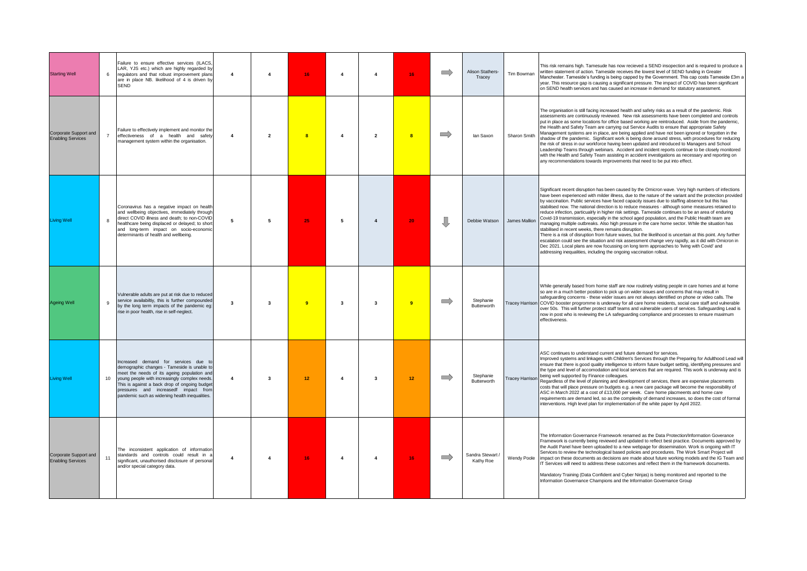| <b>Starting Well</b>                              | 6              | Failure to ensure effective services (ILACS,<br>LAR, YJS etc.) which are highly regarded by<br>regulators and that robust improvement plans<br>are in place NB. likelihood of 4 is driven by<br><b>SEND</b>                                                                                                                    | $\overline{4}$ | $\overline{\mathbf{4}}$ | 16 <sub>1</sub>         | $\overline{4}$          | $\overline{4}$          | 16                      | $\Rightarrow$ | Alison Stathers-<br>Tracev    | Tim Bowman    | This risk remains high. Tamesude has now recieved a SEND insopection and is required to produce a<br>written statement of action. Tameside receives the lowest level of SEND funding in Greater<br>Manchester. Tameside's funding is being capped by the Government. This cap costs Tameside £3m a<br>year. This resource gap is causing a significant pressure. The impact of COVID has been significant<br>on SEND health services and has caused an increase in demand for statutory assessment.                                                                                                                                                                                                                                                                                                                                                                                                                                                                                                                                                                                                                                                                                        |
|---------------------------------------------------|----------------|--------------------------------------------------------------------------------------------------------------------------------------------------------------------------------------------------------------------------------------------------------------------------------------------------------------------------------|----------------|-------------------------|-------------------------|-------------------------|-------------------------|-------------------------|---------------|-------------------------------|---------------|--------------------------------------------------------------------------------------------------------------------------------------------------------------------------------------------------------------------------------------------------------------------------------------------------------------------------------------------------------------------------------------------------------------------------------------------------------------------------------------------------------------------------------------------------------------------------------------------------------------------------------------------------------------------------------------------------------------------------------------------------------------------------------------------------------------------------------------------------------------------------------------------------------------------------------------------------------------------------------------------------------------------------------------------------------------------------------------------------------------------------------------------------------------------------------------------|
| Corporate Support and<br><b>Enabling Services</b> | $\overline{7}$ | Failure to effectively implement and monitor the<br>effectiveness of a health and safety<br>management system within the organisation.                                                                                                                                                                                         | $\mathbf{A}$   | $\overline{2}$          | $\overline{\mathbf{a}}$ | $\overline{4}$          | $\overline{2}$          | $\overline{\mathbf{a}}$ | $\implies$    | lan Saxon                     | Sharon Smith  | The organisation is still facing increased health and safety risks as a result of the pandemic. Risk<br>assessments are continuously reviewed. New risk assessments have been completed and controls<br>put in place as some locations for office based working are reintroduced. Aside from the pandemic,<br>the Health and Safety Team are carrying out Service Audits to ensure that appropriate Safety<br>Management systems are in place, are being applied and have not been ignored or forgotten in the<br>shadow of the pandemic. Significant work is being done around stress, with procedures for reducing<br>the risk of stress in our workforce having been updated and introduced to Managers and School<br>Leadership Teams through webinars. Accident and incident reports continue to be closely monitored<br>with the Health and Safety Team assisting in accident investigations as necessary and reporting on<br>any recommendations towards improvements that need to be put into effect.                                                                                                                                                                              |
| <b>Living Well</b>                                | 8              | Coronavirus has a negative impact on health<br>and wellbeing objectives, immediately through<br>direct COVID illness and death; to non-COVID<br>healthcare being displaced or delayed; to short<br>and long-term impact on socio-economic<br>determinants of health and wellbeing.                                             | 5              | 5                       | 25                      | 5                       | $\overline{4}$          | 20                      | ſļ            | Debbie Watson                 | James Mallion | Significant recent disruption has been caused by the Omicron wave. Very high numbers of infections<br>have been experienced with milder illness, due to the nature of the variant and the protection provided<br>by vaccination. Public services have faced capacity issues due to staffing absence but this has<br>stabilised now. The national direction is to reduce measures - although some measures retained to<br>reduce infection, particualrly in higher risk settings. Tameside continues to be an area of enduring<br>Covid-19 transmission, especially in the school aged population, and the Public Health team are<br>managing multiple outbreaks. Also high pressure in the care home sector. While the situation has<br>stabilised in recent weeks, there remains disruption.<br>There is a risk of disruption from future waves, but the likelihood is uncertain at this point. Any further<br>escalation could see the situation and risk assessment change very rapidly, as it did with Omicron in<br>Dec 2021. Local plans are now focussing on long term approaches to 'living with Covid' and<br>addressing inequalities, including the ongoing vaccination rollout. |
| <b>Ageing Well</b>                                | $\overline{9}$ | Vulnerable adults are put at risk due to reduced<br>service availabiltiy, this is further compounded<br>by the long term impacts of the pandemic eg:<br>rise in poor health, rise in self-neglect.                                                                                                                             | $\mathbf{3}$   | $\mathbf{3}$            | 9                       | $\overline{\mathbf{3}}$ | 3                       | $\overline{9}$          | $\implies$    | Stephanie<br>Butterworth      |               | While generally based from home staff are now routinely visiting people in care homes and at home<br>so are in a much better position to pick up on wider issues and concerns that may result in<br>safeguarding concerns - these wider issues are not always identified on phone or video calls. The<br>Tracey Harrison COVID booster progromme is underway for all care home residents, social care staff and vulnerable<br>over 50s. This will further protect staff teams and vulnerable users of services. Safeguarding Lead is<br>now in post who is reviewing the LA safeguarding compliance and processes to ensure maximum<br>effectiveness.                                                                                                                                                                                                                                                                                                                                                                                                                                                                                                                                      |
| <b>Living Well</b>                                | 10             | Increased demand for services due to<br>demographic changes - Tameside is unable to<br>meet the needs of its ageing population and<br>young people with increasingly complex needs.<br>This is against a back drop of ongoing budget<br>pressures and increasedf impact from<br>pandemic such as widening health inequalities. | $\overline{4}$ | $\overline{\mathbf{3}}$ | 12                      | $\overline{4}$          | $\overline{\mathbf{3}}$ | 12 <sup>2</sup>         | $\implies$    | Stephanie<br>Butterworth      |               | ASC continues to understand current and future demand for services.<br>Improved systems and linkages with Children's Services through the Preparing for Adulthood Lead will<br>ensure that there is good quality intelligence to inform future budget setting, identifying pressures and<br>the type and level of accomodation and local services that are required. This work is underway and is<br>Tracey Harrison being well supported by Finance colleagues.<br>Regardless of the level of planning and development of services, there are expensive placements<br>costs that will place pressure on budgets e.g. a new care package will become the responsibility of<br>ASC in March 2022 at a cost of £13,000 per week. Care home placmeents and home care<br>requirements are demand led, so as the complexity of demand increases, so does the cost of formal<br>interventions. High level plan for implementation of the white paper by April 2022.                                                                                                                                                                                                                              |
| Corporate Support and<br><b>Enabling Services</b> | 11             | The inconsistent application of information<br>standards and controls could result in a<br>significant, unauthorised disclosure of personal<br>and/or special category data.                                                                                                                                                   | $\overline{4}$ | $\mathbf{A}$            | 16                      | $\overline{4}$          | $\Delta$                | 16                      | $\Rightarrow$ | Sandra Stewart /<br>Kathy Roe | Wendy Poole   | The Information Governance Framework renamed as the Data Protection/Information Goverance<br>Framework is currently being reviewed and updated to reflect best practice. Documents approved by<br>the Audit Panel have been uploaded to a new webpage for dissemination. Work is ongoing with IT<br>Services to review the technological based policies and procedures. The Work Smart Project will<br>impact on these documents as decisions are made about future working models and the IG Team and<br>IT Services will need to address these outcomes and reflect them in the framework documents.<br>Mandatory Training (Data Confident and Cyber Ninjas) is being monitored and reported to the<br>Information Governance Champions and the Information Governance Group                                                                                                                                                                                                                                                                                                                                                                                                             |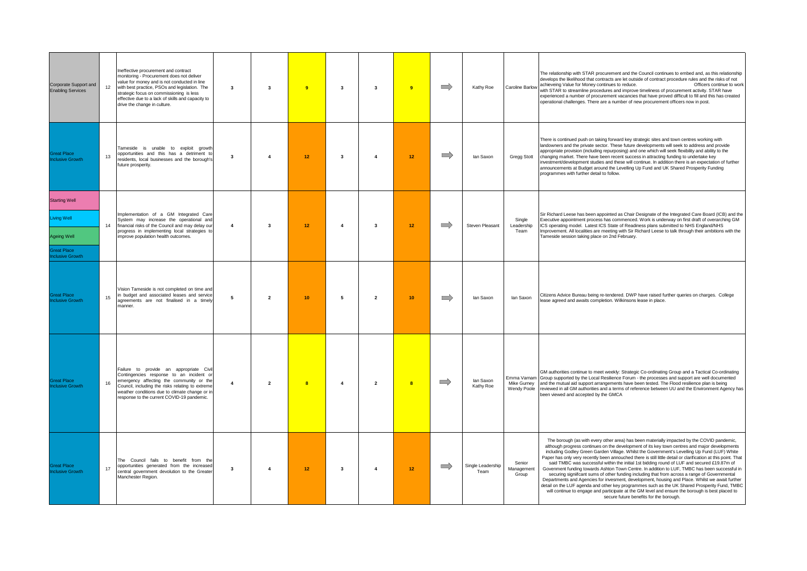| Corporate Support and<br><b>Enabling Services</b>                                                  | Ineffective procurement and contract<br>monitoring - Procurement does not deliver<br>value for money and is not conducted in line<br>12 <sup>12</sup><br>with best practice, PSOs and legislation. The<br>strategic focus on commissioning is less<br>effective due to a lack of skills and capacity to<br>drive the change in culture. | $\overline{\mathbf{3}}$<br>$\mathbf{3}$            | $\overline{9}$          | $\overline{\mathbf{3}}$ | $\mathbf{3}$            | $\overline{9}$          | $\implies$    | Kathy Roe                 | Caroline Barlow                           | The relationship with STAR procurement and the Council continues to embed and, as this relationship<br>develops the likelihood that contracts are let outside of contract procedure rules and the risks of not<br>achieveing Value for Money continues to reduce.<br>Officers continue to work<br>with STAR to streamline procedures and improve timeliness of procurement activity. STAR have<br>experienced a number of procurement vacancies that have proved difficult to fill and this has created<br>operational challenges. There are a number of new procurement officers now in post.                                                                                                                                                                                                                                                                                                                                                                                                                                                                   |
|----------------------------------------------------------------------------------------------------|-----------------------------------------------------------------------------------------------------------------------------------------------------------------------------------------------------------------------------------------------------------------------------------------------------------------------------------------|----------------------------------------------------|-------------------------|-------------------------|-------------------------|-------------------------|---------------|---------------------------|-------------------------------------------|------------------------------------------------------------------------------------------------------------------------------------------------------------------------------------------------------------------------------------------------------------------------------------------------------------------------------------------------------------------------------------------------------------------------------------------------------------------------------------------------------------------------------------------------------------------------------------------------------------------------------------------------------------------------------------------------------------------------------------------------------------------------------------------------------------------------------------------------------------------------------------------------------------------------------------------------------------------------------------------------------------------------------------------------------------------|
| <b>Great Place</b><br><b>nclusive Growth</b>                                                       | Tameside is unable to exploit growth<br>opportunities and this has a detriment to<br>13<br>residents, local businesses and the borough's<br>future prosperity.                                                                                                                                                                          | $\overline{\mathbf{3}}$<br>$\overline{\mathbf{4}}$ | 12                      | $\overline{\mathbf{3}}$ | $\overline{4}$          | 12 <sub>1</sub>         | $\Rightarrow$ | lan Saxon                 | Gregg Stott                               | There is continued push on taking forward key strategic sites and town centres working with<br>landowners and the private sector. These future developments will seek to address and provide<br>appropriate provision (including repurposing) and one which will seek flexibility and ability to the<br>changing market. There have been recent success in attracting funding to undertake key<br>investment/development studies and these will continue. In addition there is an expectation of further<br>announcements at Budget around the Levelling Up Fund and UK Shared Prosperity Funding<br>programmes with further detail to follow.                                                                                                                                                                                                                                                                                                                                                                                                                   |
| <b>Starting Well</b><br>Living Well<br>Ageing Well<br><b>Sreat Place</b><br><b>nclusive Growth</b> | Implementation of a GM Integrated Care<br>System may increase the operational and<br>14<br>financial risks of the Council and may delay our<br>progress in implementing local strategies to<br>improve population health outcomes.                                                                                                      | $\overline{4}$<br>$\overline{\mathbf{3}}$          | 12                      | $\overline{4}$          | $\mathbf{3}$            | 12 <sub>2</sub>         | $\implies$    | Steven Pleasant           | Single<br>Leadership<br>Team              | Sir Richard Leese has been appointed as Chair Designate of the Integrated Care Board (ICB) and the<br>Executive appointment process has commenced. Work is underway on first draft of overarching GM<br>ICS operating model. Latest ICS State of Readiness plans submitted to NHS England/NHS<br>Improvement. All localities are meeting with Sir Richard Leese to talk through their ambitions with the<br>Tameside session taking place on 2nd February.                                                                                                                                                                                                                                                                                                                                                                                                                                                                                                                                                                                                       |
| <b>Great Place</b><br>nclusive Growth                                                              | Vision Tameside is not completed on time and<br>in budget and associated leases and service<br>15<br>agreements are not finalised in a timely<br>manner.                                                                                                                                                                                | 5<br>$\overline{2}$                                | 10 <sub>1</sub>         | 5                       | $\overline{2}$          | 10 <sub>1</sub>         | $\implies$    | lan Saxon                 | lan Saxon                                 | Citizens Advice Bureau being re-tendered. DWP have raised further queries on charges. College<br>lease agreed and awaits completion. Wilkinsons lease in place.                                                                                                                                                                                                                                                                                                                                                                                                                                                                                                                                                                                                                                                                                                                                                                                                                                                                                                  |
| <b>Great Place</b><br><b>Inclusive Growth</b>                                                      | Failure to provide an appropriate Civil<br>Contingencies response to an incident or<br>emergency affecting the community or the<br>16<br>Council, including the risks relating to extreme<br>weather conditions due to climate change or in<br>response to the current COVID-19 pandemic.                                               | $\overline{4}$<br>$\overline{2}$                   | $\overline{\mathbf{8}}$ | $\overline{4}$          | $\overline{2}$          | $\overline{\mathbf{8}}$ | $\Rightarrow$ | lan Saxon<br>Kathy Roe    | Emma Varnam<br>Mike Gurney<br>Wendy Poole | GM authorities continue to meet weekly: Strategic Co-ordinating Group and a Tactical Co-ordinating<br>Group supported by the Local Resilience Forum - the processes and support are well documented<br>and the mutual aid support arrangements have been tested. The Flood resilience plan is being<br>reviewed in all GM authorities and a terms of reference between UU and the Environment Agency has<br>been viewed and accepted by the GMCA                                                                                                                                                                                                                                                                                                                                                                                                                                                                                                                                                                                                                 |
| Great Place<br><b>Inclusive Growth</b>                                                             | The Council fails to benefit from the<br>opportunities generated from the increased<br>17<br>central government devolution to the Greater<br>Manchester Region.                                                                                                                                                                         | 3<br>$\overline{4}$                                | 12 <sub>2</sub>         | $\mathbf{3}$            | $\overline{\mathbf{4}}$ | 12 <sub>1</sub>         | $\implies$    | Single Leadership<br>Team | Senior<br>Management<br>Group             | The borough (as with every other area) has been materially impacted by the COVID pandemic,<br>although progress continues on the development of its key town centres and major developments<br>including Godley Green Garden Village. Whilst the Government's Levelling Up Fund (LUF) White<br>Paper has only very recently been annouched there is still little detail or clarification at this point. That<br>said TMBC was successful within the initial 1st bidding round of LUF and secured £19.87m of<br>Govenment funding towards Ashton Town Centre. In addition to LUF, TMBC has been successful in<br>securing significant sums of other funding including that from across a range of Governmental<br>Departments and Agencies for invesment, development, housing and Place. Whilst we await further<br>detail on the LUF agenda and other key programmes such as the UK Shared Prosperity Fund, TMBC<br>will continue to engage and participate at the GM level and ensure the borough is best placed to<br>secure future benefits for the borough. |